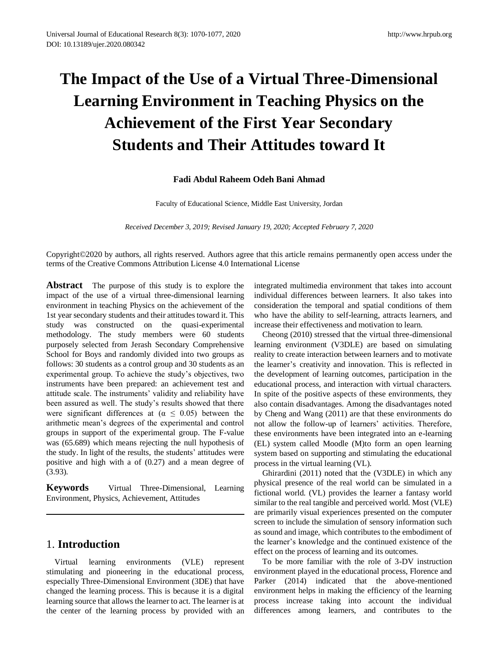# **The Impact of the Use of a Virtual Three-Dimensional Learning Environment in Teaching Physics on the Achievement of the First Year Secondary Students and Their Attitudes toward It**

#### **Fadi Abdul Raheem Odeh Bani Ahmad**

Faculty of Educational Science, Middle East University, Jordan

*Received December 3, 2019; Revised January 19, 2020; Accepted February 7, 2020*

Copyright©2020 by authors, all rights reserved. Authors agree that this article remains permanently open access under the terms of the Creative Commons Attribution License 4.0 International License

**Abstract** The purpose of this study is to explore the impact of the use of a virtual three-dimensional learning environment in teaching Physics on the achievement of the 1st year secondary students and their attitudes toward it. This study was constructed on the quasi-experimental methodology. The study members were 60 students purposely selected from Jerash Secondary Comprehensive School for Boys and randomly divided into two groups as follows: 30 students as a control group and 30 students as an experimental group. To achieve the study's objectives, two instruments have been prepared: an achievement test and attitude scale. The instruments' validity and reliability have been assured as well. The study's results showed that there were significant differences at ( $\alpha \leq 0.05$ ) between the arithmetic mean's degrees of the experimental and control groups in support of the experimental group. The F-value was (65.689) which means rejecting the null hypothesis of the study. In light of the results, the students' attitudes were positive and high with a of (0.27) and a mean degree of (3.93).

**Keywords** Virtual Three-Dimensional, Learning Environment, Physics, Achievement, Attitudes

## 1. **Introduction**

Virtual learning environments (VLE) represent stimulating and pioneering in the educational process, especially Three-Dimensional Environment (3DE) that have changed the learning process. This is because it is a digital learning source that allows the learner to act. The learner is at the center of the learning process by provided with an integrated multimedia environment that takes into account individual differences between learners. It also takes into consideration the temporal and spatial conditions of them who have the ability to self-learning, attracts learners, and increase their effectiveness and motivation to learn.

Cheong (2010) stressed that the virtual three-dimensional learning environment (V3DLE) are based on simulating reality to create interaction between learners and to motivate the learner's creativity and innovation. This is reflected in the development of learning outcomes, participation in the educational process, and interaction with virtual characters. In spite of the positive aspects of these environments, they also contain disadvantages. Among the disadvantages noted by Cheng and Wang (2011) are that these environments do not allow the follow-up of learners' activities. Therefore, these environments have been integrated into an e-learning (EL) system called Moodle (M)to form an open learning system based on supporting and stimulating the educational process in the virtual learning (VL).

Ghirardini (2011) noted that the (V3DLE) in which any physical presence of the real world can be simulated in a fictional world. (VL) provides the learner a fantasy world similar to the real tangible and perceived world. Most (VLE) are primarily visual experiences presented on the computer screen to include the simulation of sensory information such as sound and image, which contributes to the embodiment of the learner's knowledge and the continued existence of the effect on the process of learning and its outcomes.

To be more familiar with the role of 3-DV instruction environment played in the educational process, Florence and Parker (2014) indicated that the above-mentioned environment helps in making the efficiency of the learning process increase taking into account the individual differences among learners, and contributes to the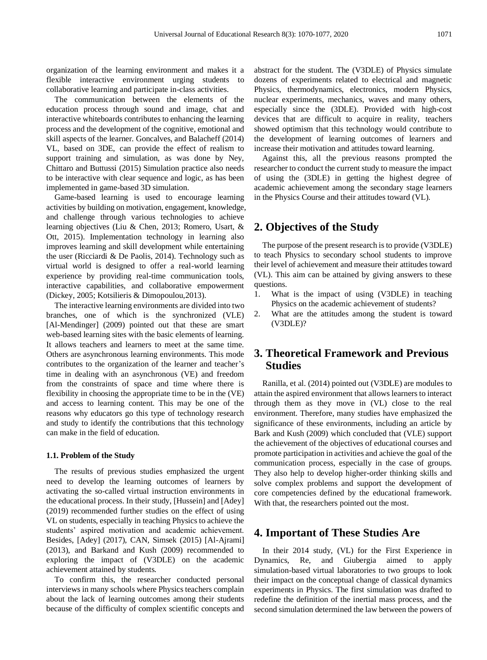organization of the learning environment and makes it a flexible interactive environment urging students to collaborative learning and participate in-class activities.

The communication between the elements of the education process through sound and image, chat and interactive whiteboards contributes to enhancing the learning process and the development of the cognitive, emotional and skill aspects of the learner. Goncalves, and Balacheff (2014) VL, based on 3DE, can provide the effect of realism to support training and simulation, as was done by Ney, Chittaro and Buttussi (2015) Simulation practice also needs to be interactive with clear sequence and logic, as has been implemented in game-based 3D simulation.

Game-based learning is used to encourage learning activities by building on motivation, engagement, knowledge, and challenge through various technologies to achieve learning objectives (Liu & Chen, 2013; Romero, Usart, & Ott, 2015). Implementation technology in learning also improves learning and skill development while entertaining the user (Ricciardi & De Paolis, 2014). Technology such as virtual world is designed to offer a real-world learning experience by providing real-time communication tools, interactive capabilities, and collaborative empowerment (Dickey, 2005; Kotsilieris & Dimopoulou,2013).

The interactive learning environments are divided into two branches, one of which is the synchronized (VLE) [Al-Mendinger] (2009) pointed out that these are smart web-based learning sites with the basic elements of learning. It allows teachers and learners to meet at the same time. Others are asynchronous learning environments. This mode contributes to the organization of the learner and teacher's time in dealing with an asynchronous (VE) and freedom from the constraints of space and time where there is flexibility in choosing the appropriate time to be in the (VE) and access to learning content. This may be one of the reasons why educators go this type of technology research and study to identify the contributions that this technology can make in the field of education.

#### **1.1. Problem of the Study**

The results of previous studies emphasized the urgent need to develop the learning outcomes of learners by activating the so-called virtual instruction environments in the educational process. In their study, [Hussein] and [Adey] (2019) recommended further studies on the effect of using VL on students, especially in teaching Physics to achieve the students' aspired motivation and academic achievement. Besides, [Adey] (2017), CAN, Simsek (2015) [Al-Ajrami] (2013), and Barkand and Kush (2009) recommended to exploring the impact of (V3DLE) on the academic achievement attained by students.

To confirm this, the researcher conducted personal interviews in many schools where Physics teachers complain about the lack of learning outcomes among their students because of the difficulty of complex scientific concepts and

abstract for the student. The (V3DLE) of Physics simulate dozens of experiments related to electrical and magnetic Physics, thermodynamics, electronics, modern Physics, nuclear experiments, mechanics, waves and many others, especially since the (3DLE). Provided with high-cost devices that are difficult to acquire in reality, teachers showed optimism that this technology would contribute to the development of learning outcomes of learners and increase their motivation and attitudes toward learning.

Against this, all the previous reasons prompted the researcher to conduct the current study to measure the impact of using the (3DLE) in getting the highest degree of academic achievement among the secondary stage learners in the Physics Course and their attitudes toward (VL).

## **2. Objectives of the Study**

The purpose of the present research is to provide (V3DLE) to teach Physics to secondary school students to improve their level of achievement and measure their attitudes toward (VL). This aim can be attained by giving answers to these questions.

- 1. What is the impact of using (V3DLE) in teaching Physics on the academic achievement of students?
- 2. What are the attitudes among the student is toward (V3DLE)?

## **3. Theoretical Framework and Previous Studies**

Ranilla, et al. (2014) pointed out (V3DLE) are modules to attain the aspired environment that allows learners to interact through them as they move in (VL) close to the real environment. Therefore, many studies have emphasized the significance of these environments, including an article by Bark and Kush (2009) which concluded that (VLE) support the achievement of the objectives of educational courses and promote participation in activities and achieve the goal of the communication process, especially in the case of groups. They also help to develop higher-order thinking skills and solve complex problems and support the development of core competencies defined by the educational framework. With that, the researchers pointed out the most.

#### **4. Important of These Studies Are**

In their 2014 study, (VL) for the First Experience in Dynamics, Re, and Giubergia aimed to apply simulation-based virtual laboratories to two groups to look their impact on the conceptual change of classical dynamics experiments in Physics. The first simulation was drafted to redefine the definition of the inertial mass process, and the second simulation determined the law between the powers of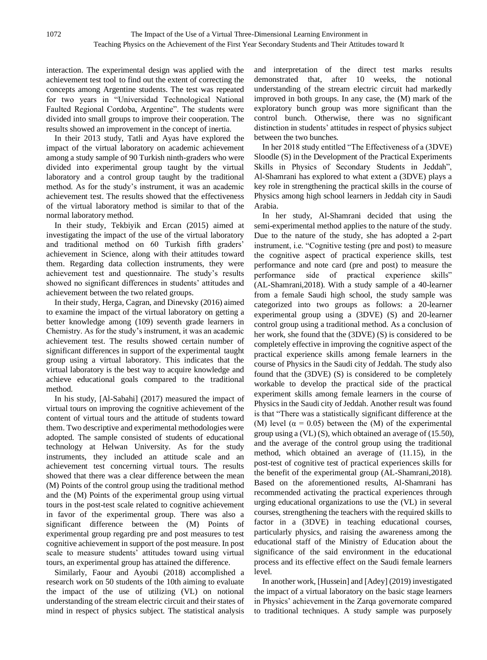interaction. The experimental design was applied with the achievement test tool to find out the extent of correcting the concepts among Argentine students. The test was repeated for two years in "Universidad Technological National Faulted Regional Cordoba, Argentine". The students were divided into small groups to improve their cooperation. The results showed an improvement in the concept of inertia.

In their 2013 study, Tatli and Ayas have explored the impact of the virtual laboratory on academic achievement among a study sample of 90 Turkish ninth-graders who were divided into experimental group taught by the virtual laboratory and a control group taught by the traditional method. As for the study's instrument, it was an academic achievement test. The results showed that the effectiveness of the virtual laboratory method is similar to that of the normal laboratory method.

In their study, Tekbiyik and Ercan (2015) aimed at investigating the impact of the use of the virtual laboratory and traditional method on 60 Turkish fifth graders' achievement in Science, along with their attitudes toward them. Regarding data collection instruments, they were achievement test and questionnaire. The study's results showed no significant differences in students' attitudes and achievement between the two related groups.

In their study, Herga, Cagran, and Dinevsky (2016) aimed to examine the impact of the virtual laboratory on getting a better knowledge among (109) seventh grade learners in Chemistry. As for the study's instrument, it was an academic achievement test. The results showed certain number of significant differences in support of the experimental taught group using a virtual laboratory. This indicates that the virtual laboratory is the best way to acquire knowledge and achieve educational goals compared to the traditional method.

In his study, [Al-Sabahi] (2017) measured the impact of virtual tours on improving the cognitive achievement of the content of virtual tours and the attitude of students toward them. Two descriptive and experimental methodologies were adopted. The sample consisted of students of educational technology at Helwan University. As for the study instruments, they included an attitude scale and an achievement test concerning virtual tours. The results showed that there was a clear difference between the mean (M) Points of the control group using the traditional method and the (M) Points of the experimental group using virtual tours in the post-test scale related to cognitive achievement in favor of the experimental group. There was also a significant difference between the (M) Points of experimental group regarding pre and post measures to test cognitive achievement in support of the post measure. In post scale to measure students' attitudes toward using virtual tours, an experimental group has attained the difference.

Similarly, Faour and Ayoubi (2018) accomplished a research work on 50 students of the 10th aiming to evaluate the impact of the use of utilizing (VL) on notional understanding of the stream electric circuit and their states of mind in respect of physics subject. The statistical analysis and interpretation of the direct test marks results demonstrated that, after 10 weeks, the notional understanding of the stream electric circuit had markedly improved in both groups. In any case, the (M) mark of the exploratory bunch group was more significant than the control bunch. Otherwise, there was no significant distinction in students' attitudes in respect of physics subject between the two bunches.

In her 2018 study entitled "The Effectiveness of a (3DVE) Sloodle (S) in the Development of the Practical Experiments Skills in Physics of Secondary Students in Jeddah", Al-Shamrani has explored to what extent a (3DVE) plays a key role in strengthening the practical skills in the course of Physics among high school learners in Jeddah city in Saudi Arabia.

In her study, Al-Shamrani decided that using the semi-experimental method applies to the nature of the study. Due to the nature of the study, she has adopted a 2-part instrument, i.e. "Cognitive testing (pre and post) to measure the cognitive aspect of practical experience skills, test performance and note card (pre and post) to measure the performance side of practical experience skills" (AL-Shamrani,2018). With a study sample of a 40-learner from a female Saudi high school, the study sample was categorized into two groups as follows: a 20-learner experimental group using a (3DVE) (S) and 20-learner control group using a traditional method. As a conclusion of her work, she found that the (3DVE) (S) is considered to be completely effective in improving the cognitive aspect of the practical experience skills among female learners in the course of Physics in the Saudi city of Jeddah. The study also found that the (3DVE) (S) is considered to be completely workable to develop the practical side of the practical experiment skills among female learners in the course of Physics in the Saudi city of Jeddah. Another result was found is that "There was a statistically significant difference at the (M) level ( $\alpha = 0.05$ ) between the (M) of the experimental group using a (VL) (S), which obtained an average of (15.50), and the average of the control group using the traditional method, which obtained an average of (11.15), in the post-test of cognitive test of practical experiences skills for the benefit of the experimental group (AL-Shamrani,2018). Based on the aforementioned results, Al-Shamrani has recommended activating the practical experiences through urging educational organizations to use the (VL) in several courses, strengthening the teachers with the required skills to factor in a (3DVE) in teaching educational courses, particularly physics, and raising the awareness among the educational staff of the Ministry of Education about the significance of the said environment in the educational process and its effective effect on the Saudi female learners level.

In another work, [Hussein] and [Adey] (2019) investigated the impact of a virtual laboratory on the basic stage learners in Physics' achievement in the Zarqa governorate compared to traditional techniques. A study sample was purposely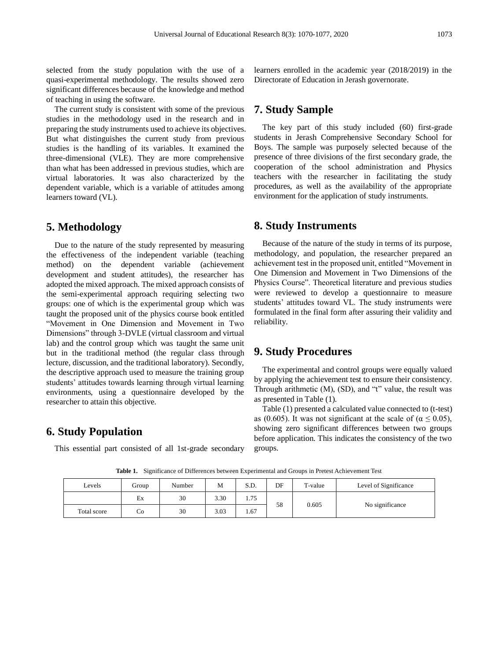selected from the study population with the use of a quasi-experimental methodology. The results showed zero significant differences because of the knowledge and method of teaching in using the software.

The current study is consistent with some of the previous studies in the methodology used in the research and in preparing the study instruments used to achieve its objectives. But what distinguishes the current study from previous studies is the handling of its variables. It examined the three-dimensional (VLE). They are more comprehensive than what has been addressed in previous studies, which are virtual laboratories. It was also characterized by the dependent variable, which is a variable of attitudes among learners toward (VL).

## **5. Methodology**

Due to the nature of the study represented by measuring the effectiveness of the independent variable (teaching method) on the dependent variable (achievement development and student attitudes), the researcher has adopted the mixed approach. The mixed approach consists of the semi-experimental approach requiring selecting two groups: one of which is the experimental group which was taught the proposed unit of the physics course book entitled "Movement in One Dimension and Movement in Two Dimensions" through 3-DVLE (virtual classroom and virtual lab) and the control group which was taught the same unit but in the traditional method (the regular class through lecture, discussion, and the traditional laboratory). Secondly, the descriptive approach used to measure the training group students' attitudes towards learning through virtual learning environments, using a questionnaire developed by the researcher to attain this objective.

### **6. Study Population**

This essential part consisted of all 1st-grade secondary

learners enrolled in the academic year (2018/2019) in the Directorate of Education in Jerash governorate.

#### **7. Study Sample**

The key part of this study included (60) first-grade students in Jerash Comprehensive Secondary School for Boys. The sample was purposely selected because of the presence of three divisions of the first secondary grade, the cooperation of the school administration and Physics teachers with the researcher in facilitating the study procedures, as well as the availability of the appropriate environment for the application of study instruments.

#### **8. Study Instruments**

Because of the nature of the study in terms of its purpose, methodology, and population, the researcher prepared an achievement test in the proposed unit, entitled "Movement in One Dimension and Movement in Two Dimensions of the Physics Course". Theoretical literature and previous studies were reviewed to develop a questionnaire to measure students' attitudes toward VL. The study instruments were formulated in the final form after assuring their validity and reliability.

#### **9. Study Procedures**

The experimental and control groups were equally valued by applying the achievement test to ensure their consistency. Through arithmetic (M), (SD), and "t" value, the result was as presented in Table (1).

Table (1) presented a calculated value connected to (t-test) as (0.605). It was not significant at the scale of ( $\alpha \le 0.05$ ), showing zero significant differences between two groups before application. This indicates the consistency of the two groups.

**Table 1.** Significance of Differences between Experimental and Groups in Pretest Achievement Test

| Levels      | Group | Number | M    | S.D. | DF | T-value | Level of Significance |       |                 |  |  |  |  |
|-------------|-------|--------|------|------|----|---------|-----------------------|-------|-----------------|--|--|--|--|
|             | Ex    | 30     | 3.30 | 1.75 | 58 |         |                       |       |                 |  |  |  |  |
| Total score | Co    | 30     | 3.03 | 1.67 |    |         |                       | 0.605 | No significance |  |  |  |  |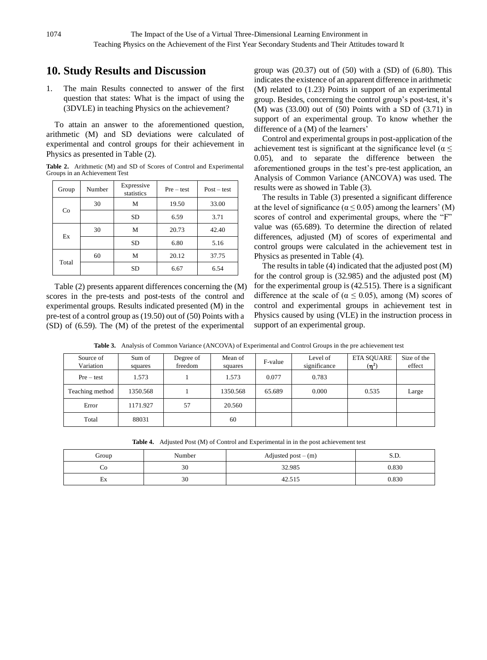## **10. Study Results and Discussion**

1. The main Results connected to answer of the first question that states: What is the impact of using the (3DVLE) in teaching Physics on the achievement?

To attain an answer to the aforementioned question, arithmetic (M) and SD deviations were calculated of experimental and control groups for their achievement in Physics as presented in Table (2).

**Table 2.** Arithmetic (M) and SD of Scores of Control and Experimental Groups in an Achievement Test

| Group | Number | Expressive<br>statistics | $Pre - test$ | $Post - test$ |  |
|-------|--------|--------------------------|--------------|---------------|--|
|       | 30     | М                        | 19.50        | 33.00         |  |
| Co    |        | SD                       | 6.59         | 3.71          |  |
| Ex    | 30     | М                        | 20.73        | 42.40         |  |
|       |        | SD                       | 6.80         | 5.16          |  |
| Total | 60     | М                        | 20.12        | 37.75         |  |
|       |        | SD                       | 6.67         | 6.54          |  |

Table (2) presents apparent differences concerning the (M) scores in the pre-tests and post-tests of the control and experimental groups. Results indicated presented (M) in the pre-test of a control group as (19.50) out of (50) Points with a (SD) of (6.59). The (M) of the pretest of the experimental

group was  $(20.37)$  out of  $(50)$  with a  $(SD)$  of  $(6.80)$ . This indicates the existence of an apparent difference in arithmetic (M) related to (1.23) Points in support of an experimental group. Besides, concerning the control group's post-test, it's (M) was (33.00) out of (50) Points with a SD of (3.71) in support of an experimental group. To know whether the difference of a (M) of the learners'

Control and experimental groups in post-application of the achievement test is significant at the significance level ( $\alpha \leq$ 0.05), and to separate the difference between the aforementioned groups in the test's pre-test application, an Analysis of Common Variance (ANCOVA) was used. The results were as showed in Table (3).

The results in Table (3) presented a significant difference at the level of significance ( $\alpha \le 0.05$ ) among the learners' (M) scores of control and experimental groups, where the "F" value was (65.689). To determine the direction of related differences, adjusted (M) of scores of experimental and control groups were calculated in the achievement test in Physics as presented in Table (4).

The results in table (4) indicated that the adjusted post (M) for the control group is (32.985) and the adjusted post (M) for the experimental group is (42.515). There is a significant difference at the scale of ( $\alpha \leq 0.05$ ), among (M) scores of control and experimental groups in achievement test in Physics caused by using (VLE) in the instruction process in support of an experimental group.

| Source of<br>Variation | Sum of<br>squares | Degree of<br>freedom | Mean of<br>squares | F-value | Level of<br>significance | <b>ETA SQUARE</b><br>$(\mathsf{n}^2)$ | Size of the<br>effect |
|------------------------|-------------------|----------------------|--------------------|---------|--------------------------|---------------------------------------|-----------------------|
| $Pre-test$             | 1.573             |                      | 1.573              | 0.077   | 0.783                    |                                       |                       |
| Teaching method        | 1350.568          |                      | 1350.568           | 65.689  | 0.000                    | 0.535                                 | Large                 |
| Error                  | 1171.927          | 57                   | 20.560             |         |                          |                                       |                       |
| Total                  | 88031             |                      | 60                 |         |                          |                                       |                       |

**Table 3.** Analysis of Common Variance (ANCOVA) of Experimental and Control Groups in the pre achievement test

**Table 4.** Adjusted Post (M) of Control and Experimental in in the post achievement test

| Group   | Number | Adjusted post $-(m)$ |       |
|---------|--------|----------------------|-------|
| CO      | 30     | 32.985               | 0.830 |
| -<br>Еx | 30     | 42.515               | 0.830 |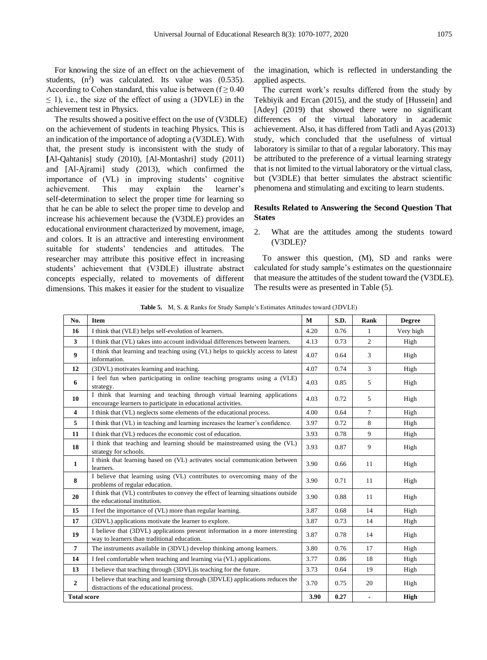For knowing the size of an effect on the achievement of students,  $(n^2)$  was calculated. Its value was  $(0.535)$ . According to Cohen standard, this value is between ( $f \ge 0.40$ )  $\leq$  1), i.e., the size of the effect of using a (3DVLE) in the achievement test in Physics.

The results showed a positive effect on the use of (V3DLE) on the achievement of students in teaching Physics. This is an indication of the importance of adopting a (V3DLE). With that, the present study is inconsistent with the study of **[**Al-Qahtanis] study (2010), [Al-Montashri] study (2011) and [Al-Ajrami] study (2013), which confirmed the importance of (VL) in improving students' cognitive achievement. This may explain the learner's self-determination to select the proper time for learning so that he can be able to select the proper time to develop and increase his achievement because the (V3DLE) provides an educational environment characterized by movement, image, and colors. It is an attractive and interesting environment suitable for students' tendencies and attitudes. The researcher may attribute this positive effect in increasing students' achievement that (V3DLE) illustrate abstract concepts especially, related to movements of different dimensions. This makes it easier for the student to visualize

the imagination, which is reflected in understanding the applied aspects.

The current work's results differed from the study by Tekbiyik and Ercan (2015), and the study of [Hussein] and [Adey] (2019) that showed there were no significant differences of the virtual laboratory in academic achievement. Also, it has differed from Tatli and Ayas (2013) study, which concluded that the usefulness of virtual laboratory is similar to that of a regular laboratory. This may be attributed to the preference of a virtual learning strategy that is not limited to the virtual laboratory or the virtual class, but (V3DLE) that better simulates the abstract scientific phenomena and stimulating and exciting to learn students.

#### **Results Related to Answering the Second Question That States**

2. What are the attitudes among the students toward (V3DLE)?

To answer this question, (M), SD and ranks were calculated for study sample's estimates on the questionnaire that measure the attitudes of the student toward the (V3DLE). The results were as presented in Table (5).

**Table 5.** M, S. & Ranks for Study Sample's Estimates Attitudes toward (3DVLE)

| No.                     | Item                                                                                                                                     | M    | S.D. | Rank           | <b>Degree</b> |
|-------------------------|------------------------------------------------------------------------------------------------------------------------------------------|------|------|----------------|---------------|
| 16                      | I think that (VLE) helps self-evolution of learners.                                                                                     | 4.20 | 0.76 | $\mathbf{1}$   | Very high     |
| 3                       | I think that (VL) takes into account individual differences between learners.                                                            | 4.13 | 0.73 | $\overline{2}$ | High          |
| 9                       | I think that learning and teaching using (VL) helps to quickly access to latest<br>information.                                          | 4.07 | 0.64 | 3              | High          |
| 12                      | (3DVL) motivates learning and teaching.                                                                                                  | 4.07 | 0.74 | 3              | High          |
| 6                       | I feel fun when participating in online teaching programs using a (VLE)<br>strategy.                                                     | 4.03 | 0.85 | 5              | High          |
| 10                      | I think that learning and teaching through virtual learning applications<br>encourage learners to participate in educational activities. | 4.03 | 0.72 | 5              | High          |
| $\overline{\mathbf{4}}$ | I think that (VL) neglects some elements of the educational process.                                                                     | 4.00 | 0.64 | $\tau$         | High          |
| 5                       | I think that (VL) in teaching and learning increases the learner's confidence.                                                           | 3.97 | 0.72 | 8              | High          |
| 11                      | I think that (VL) reduces the economic cost of education.                                                                                | 3.93 | 0.78 | 9              | High          |
| 18                      | I think that teaching and learning should be mainstreamed using the (VL)<br>strategy for schools.                                        | 3.93 | 0.87 | 9              | High          |
| $\mathbf{1}$            | I think that learning based on (VL) activates social communication between<br>learners.                                                  | 3.90 | 0.66 | 11             | High          |
| 8                       | I believe that learning using (VL) contributes to overcoming many of the<br>problems of regular education.                               | 3.90 | 0.71 | 11             | High          |
| 20                      | I think that (VL) contributes to convey the effect of learning situations outside<br>the educational institution.                        | 3.90 | 0.88 | 11             | High          |
| 15                      | I feel the importance of (VL) more than regular learning.                                                                                | 3.87 | 0.68 | 14             | High          |
| 17                      | (3DVL) applications motivate the learner to explore.                                                                                     | 3.87 | 0.73 | 14             | High          |
| 19                      | I believe that (3DVL) applications present information in a more interesting<br>way to learners than traditional education.              | 3.87 | 0.78 | 14             | High          |
| 7                       | The instruments available in (3DVL) develop thinking among learners.                                                                     | 3.80 | 0.76 | 17             | High          |
| 14                      | I feel comfortable when teaching and learning via (VL) applications.                                                                     | 3.77 | 0.86 | 18             | High          |
| 13                      | I believe that teaching through (3DVL) is teaching for the future.                                                                       | 3.73 | 0.64 | 19             | High          |
| $\overline{2}$          | I believe that teaching and learning through (3DVLE) applications reduces the<br>distractions of the educational process.                | 3.70 | 0.75 | 20             | High          |
| <b>Total score</b>      |                                                                                                                                          | 3.90 | 0.27 |                | <b>High</b>   |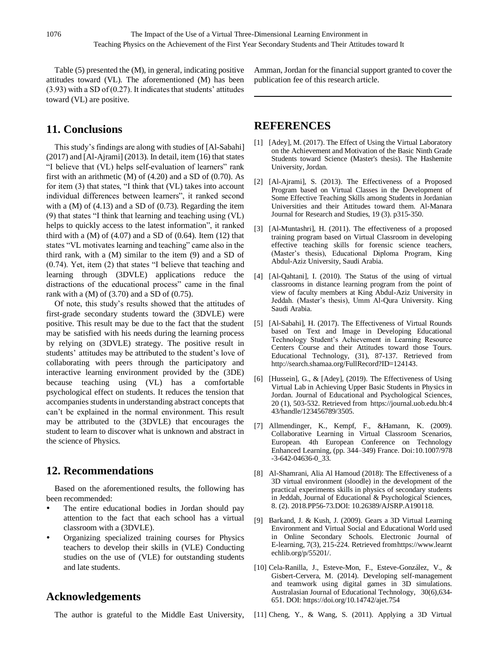Table (5) presented the (M), in general, indicating positive attitudes toward (VL). The aforementioned (M) has been (3.93) with a SD of (0.27). It indicates that students' attitudes toward (VL) are positive.

# **11. Conclusions**

This study's findings are along with studies of [Al-Sabahi] (2017) and [Al-Ajrami] (2013). In detail, item (16) that states "I believe that (VL) helps self-evaluation of learners" rank first with an arithmetic  $(M)$  of  $(4.20)$  and a SD of  $(0.70)$ . As for item (3) that states, "I think that (VL) takes into account individual differences between learners", it ranked second with a  $(M)$  of  $(4.13)$  and a SD of  $(0.73)$ . Regarding the item (9) that states "I think that learning and teaching using (VL) helps to quickly access to the latest information", it ranked third with a  $(M)$  of  $(4.07)$  and a SD of  $(0.64)$ . Item  $(12)$  that states "VL motivates learning and teaching" came also in the third rank, with a (M) similar to the item (9) and a SD of (0.74). Yet, item (2) that states "I believe that teaching and learning through (3DVLE) applications reduce the distractions of the educational process" came in the final rank with a  $(M)$  of  $(3.70)$  and a SD of  $(0.75)$ .

Of note, this study's results showed that the attitudes of first-grade secondary students toward the (3DVLE) were positive. This result may be due to the fact that the student may be satisfied with his needs during the learning process by relying on (3DVLE) strategy. The positive result in students' attitudes may be attributed to the student's love of collaborating with peers through the participatory and interactive learning environment provided by the (3DE) because teaching using (VL) has a comfortable psychological effect on students. It reduces the tension that accompanies students in understanding abstract concepts that can't be explained in the normal environment. This result may be attributed to the (3DVLE) that encourages the student to learn to discover what is unknown and abstract in the science of Physics.

## **12. Recommendations**

Based on the aforementioned results, the following has been recommended:

- The entire educational bodies in Jordan should pay attention to the fact that each school has a virtual classroom with a (3DVLE).
- Organizing specialized training courses for Physics teachers to develop their skills in (VLE) Conducting studies on the use of (VLE) for outstanding students and late students.

## **Acknowledgements**

The author is grateful to the Middle East University,

Amman, Jordan for the financial support granted to cover the publication fee of this research article.

## **REFERENCES**

- [1] [Adey], M. (2017). The Effect of Using the Virtual Laboratory on the Achievement and Motivation of the Basic Ninth Grade Students toward Science (Master's thesis). The Hashemite University, Jordan.
- [2] [Al-Ajrami], S. (2013). The Effectiveness of a Proposed Program based on Virtual Classes in the Development of Some Effective Teaching Skills among Students in Jordanian Universities and their Attitudes toward them. Al-Manara Journal for Research and Studies, 19 (3). p315-350.
- [3] [Al-Muntashri], H. (2011). The effectiveness of a proposed training program based on Virtual Classroom in developing effective teaching skills for forensic science teachers, (Master's thesis), Educational Diploma Program, King Abdul-Aziz University, Saudi Arabia.
- [4] [Al-Qahtani], I. (2010). The Status of the using of virtual classrooms in distance learning program from the point of view of faculty members at King Abdul-Aziz University in Jeddah. (Master's thesis), Umm Al-Qura University. King Saudi Arabia.
- [5] [Al-Sabahi], H. (2017). The Effectiveness of Virtual Rounds based on Text and Image in Developing Educational Technology Student's Achievement in Learning Resource Centers Course and their Attitudes toward those Tours. Educational Technology, (31), 87-137. Retrieved from [http://search.shamaa.org/FullRecord?ID=124143.](http://search.shamaa.org/FullRecord?ID=124143)
- [6] [Hussein], G., & [Adey], (2019). The Effectiveness of Using Virtual Lab in Achieving Upper Basic Students in Physics in Jordan. Journal of Educational and Psychological Sciences, 20 (1), 503-532. Retrieved from [https://journal.uob.edu.bh:4](https://journal.uob.edu.bh/handle/123456789/3505) [43/handle/123456789/3505.](https://journal.uob.edu.bh/handle/123456789/3505)
- [7] Allmendinger, K., Kempf, F., &Hamann, K. (2009). Collaborative Learning in Virtual Classroom Scenarios, European. 4th European Conference on Technology Enhanced Learning, (pp. 344–349) France. Doi[:10.1007/978](https://doi.org/10.1007/978-3-642-04636-0_33) [-3-642-04636-0\\_33.](https://doi.org/10.1007/978-3-642-04636-0_33)
- [8] Al-Shamrani, Alia Al Hamoud (2018): The Effectiveness of a 3D virtual environment (sloodle) in the development of the practical experiments skills in physics of secondary students in Jeddah, Journal of Educational & Psychological Sciences, 8. (2). 2018.PP56-73.DOI: 10.26389/AJSRP.A190118.
- [9] Barkand, J. & Kush, J. (2009). Gears a 3D Virtual Learning Environment and Virtual Social and Educational World used in Online Secondary Schools. Electronic Journal of E-learning, 7(3), 215-224. Retrieved fro[mhttps://www.learnt](https://www.learntechlib.org/p/55201/) [echlib.org/p/55201/.](https://www.learntechlib.org/p/55201/)
- [10] Cela-Ranilla, J., Esteve-Mon, F., Esteve-González, V., & Gisbert-Cervera, M. (2014). Developing self-management and teamwork using digital games in 3D simulations. Australasian Journal of Educational Technology, 30(6),634- 651. DOI[: https://doi.org/10.14742/ajet.754](https://doi.org/10.14742/ajet.754)
- [11] Cheng, Y., & Wang, S. (2011). Applying a 3D Virtual